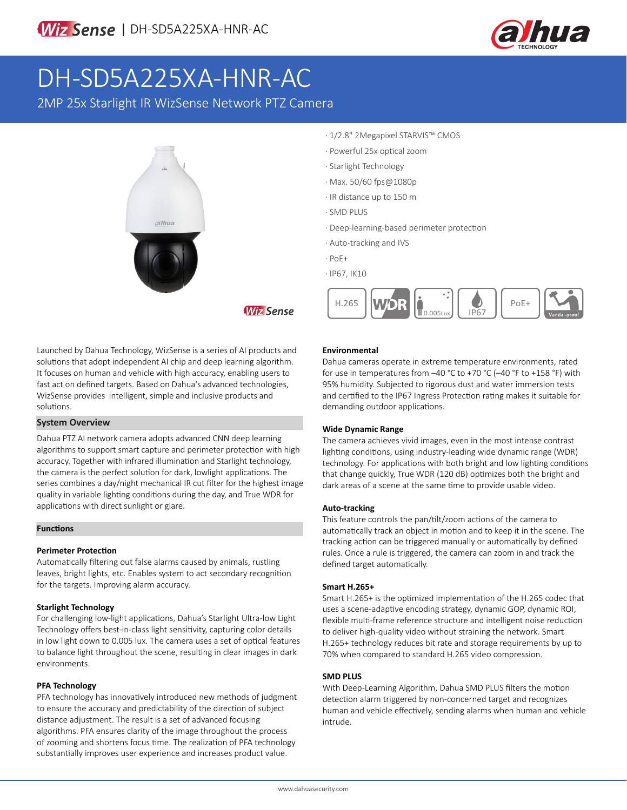

# DH-SD5A225XA-HNR-AC

2MP 25x Starlight IR WizSense Network PTZ Camera



- · 1/2.8" 2Megapixel STARVIS™ CMOS
- · Powerful 25x optical zoom
- · Starlight Technology
- · Max. 50/60 fps@1080p
- · IR distance up to 150 m
- · SMD PLUS
- · Deep-learning-based perimeter protection
- · Auto-tracking and IVS
- · PoE+

**Wiz Sense** 

· IP67, IK10



Launched by Dahua Technology, WizSense is a series of AI products and solutions that adopt independent AI chip and deep learning algorithm. It focuses on human and vehicle with high accuracy, enabling users to fast act on defined targets. Based on Dahua's advanced technologies, WizSense provides intelligent, simple and inclusive products and solutions.

#### **System Overview**

Dahua PTZ AI network camera adopts advanced CNN deep learning algorithms to support smart capture and perimeter protection with high accuracy. Together with infrared illumination and Starlight technology, the camera is the perfect solution for dark, lowlight applications. The series combines a day/night mechanical IR cut filter for the highest image quality in variable lighting conditions during the day, and True WDR for applications with direct sunlight or glare.

#### **Functions**

#### **Perimeter Protection**

Automatically filtering out false alarms caused by animals, rustling leaves, bright lights, etc. Enables system to act secondary recognition for the targets. Improving alarm accuracy.

#### **Starlight Technology**

For challenging low-light applications, Dahua's Starlight Ultra-low Light Technology offers best-in-class light sensitivity, capturing color details in low light down to 0.005 lux. The camera uses a set of optical features to balance light throughout the scene, resulting in clear images in dark environments.

#### **PFA Technology**

PFA technology has innovatively introduced new methods of judgment to ensure the accuracy and predictability of the direction of subject distance adjustment. The result is a set of advanced focusing algorithms. PFA ensures clarity of the image throughout the process of zooming and shortens focus time. The realization of PFA technology substantially improves user experience and increases product value.

#### **Environmental**

Dahua cameras operate in extreme temperature environments, rated for use in temperatures from –40 °C to +70 °C (–40 °F to +158 °F) with 95% humidity. Subjected to rigorous dust and water immersion tests and certified to the IP67 Ingress Protection rating makes it suitable for demanding outdoor applications.

#### **Wide Dynamic Range**

The camera achieves vivid images, even in the most intense contrast lighting conditions, using industry-leading wide dynamic range (WDR) technology. For applications with both bright and low lighting conditions that change quickly, True WDR (120 dB) optimizes both the bright and dark areas of a scene at the same time to provide usable video.

#### **Auto-tracking**

This feature controls the pan/tilt/zoom actions of the camera to automatically track an object in motion and to keep it in the scene. The tracking action can be triggered manually or automatically by defined rules. Once a rule is triggered, the camera can zoom in and track the defined target automatically.

#### **Smart H.265+**

Smart H.265+ is the optimized implementation of the H.265 codec that uses a scene-adaptive encoding strategy, dynamic GOP, dynamic ROI, flexible multi-frame reference structure and intelligent noise reduction to deliver high-quality video without straining the network. Smart H.265+ technology reduces bit rate and storage requirements by up to 70% when compared to standard H.265 video compression.

#### **SMD PLUS**

With Deep-Learning Algorithm, Dahua SMD PLUS filters the motion detection alarm triggered by non-concerned target and recognizes human and vehicle effectively, sending alarms when human and vehicle intrude.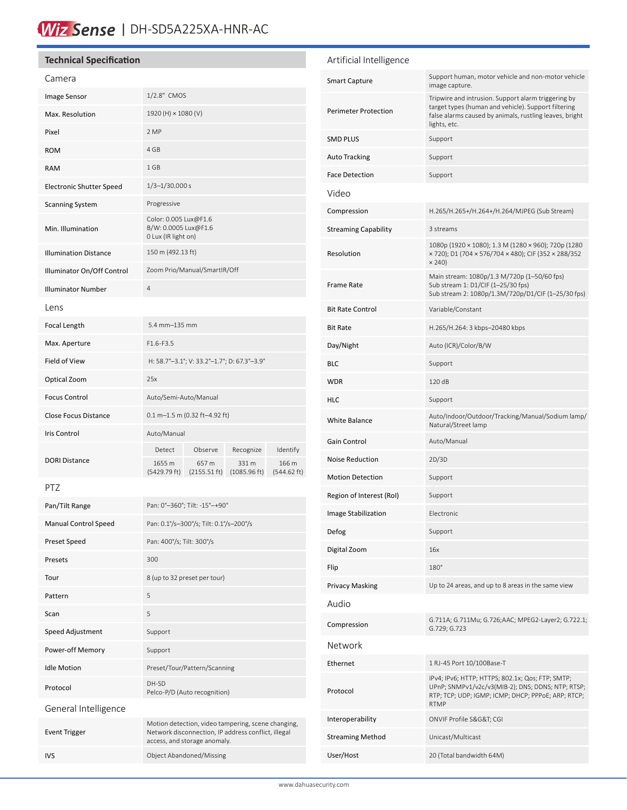### Wiz Sense | DH-SD5A225XA-HNR-AC

#### **Technical Specification** Camera Image Sensor 1/2.8" CMOS Max. Resolution  $1920 \text{ (H)} \times 1080 \text{ (V)}$ Pixel 2 MP ROM 4 GB RAM 1 GB Electronic Shutter Speed 1/3-1/30,000 s Scanning System Progressive Min. Illumination Color: 0.005 Lux@F1.6 B/W: 0.0005 Lux@F1.6 0 Lux (IR light on) Illumination Distance 150 m (492.13 ft) Illuminator On/Off Control Zoom Prio/Manual/SmartIR/Off Illuminator Number 4 Lens Focal Length 5.4 mm–135 mm Max. Aperture F1.6-F3.5 Field of View H: 58.7°–3.1°; V: 33.2°–1.7°; D: 67.3°–3.9° Optical Zoom 25x Focus Control **Auto/Semi-Auto/Manual** Close Focus Distance 0.1 m–1.5 m (0.32 ft–4.92 ft) Iris Control Auto/Manual DORI Distance Detect Observe Recognize Identify 1655 m (5429.79 ft) 657 m (2155.51 ft) (1085.96 ft) 331 m 166 m (544.62 ft) PTZ Pan/Tilt Range Pan: 0°–360°; Tilt: -15°–+90° Manual Control Speed Pan: 0.1°/s–300°/s; Tilt: 0.1°/s–200°/s Preset Speed Pan: 400°/s; Tilt: 300°/s Presets 300 Tour 8 (up to 32 preset per tour) Pattern 5 Scan 5 Speed Adjustment Support Power-off Memory Support Idle Motion Preset/Tour/Pattern/Scanning Protocol DH-SD Pelco-P/D (Auto recognition) General Intelligence Event Trigger Motion detection, video tampering, scene changing, Network disconnection, IP address conflict, illegal access, and storage anomaly. IVS Object Abandoned/Missing Artificial Intelligence Smart Capture Support human, motor vehicle and non-motor vehicle image capture. Perimeter Protection Tripwire and intrusion. Support alarm triggering by target types (human and vehicle). Support filtering false alarms caused by animals, rustling leaves, bright lights, etc. SMD PLUS Support Auto Tracking Support Face Detection Support Video Compression H.265/H.265+/H.264+/H.264/MJPEG (Sub Stream) Streaming Capability 3 streams Resolution 1080p (1920 × 1080); 1.3 M (1280 × 960); 720p (1280 × 720); D1 (704 × 576/704 × 480); CIF (352 × 288/352 × 240) Frame Rate Main stream: 1080p/1.3 M/720p (1–50/60 fps) Sub stream 1: D1/CIF (1–25/30 fps) Sub stream 2: 1080p/1.3M/720p/D1/CIF (1–25/30 fps) Bit Rate Control Variable/Constant Bit Rate H.265/H.264: 3 kbps–20480 kbps Day/Night Auto (ICR)/Color/B/W BLC Support WDR 120 dB HLC Support White Balance Auto/Indoor/Outdoor/Tracking/Manual/Sodium lamp/ Natural/Street lamp Gain Control **Auto/Manual** Noise Reduction 2D/3D Motion Detection Support Region of Interest (RoI) Support **Image Stabilization** Electronic Defog Support Digital Zoom 16x Flip 180° Privacy Masking Up to 24 areas, and up to 8 areas in the same view Audio Compression G.711A; G.711Mu; G.726; AAC; MPEG2-Layer2; G.722.1; G.729; G.723 Network Ethernet 1 RJ-45 Port 10/100Base-T Protocol IPv4; IPv6; HTTP; HTTPS; 802.1x; Qos; FTP; SMTP; UPnP; SNMPv1/v2c/v3(MIB-2); DNS; DDNS; NTP; RTSP; RTP; TCP; UDP; IGMP; ICMP; DHCP; PPPoE; ARP; RTCP; RTMP Interoperability ONVIF Profile S&G&T; CGI Streaming Method Unicast/Multicast User/Host 20 (Total bandwidth 64M)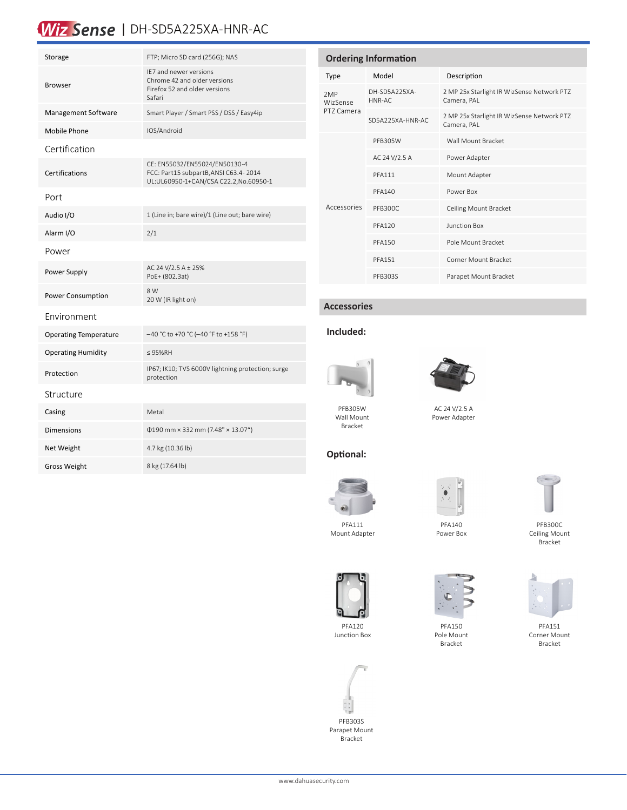## Wiz Sense | DH-SD5A225XA-HNR-AC

| Storage                      | FTP; Micro SD card (256G); NAS                                                                                  |  |  |
|------------------------------|-----------------------------------------------------------------------------------------------------------------|--|--|
| <b>Browser</b>               | IF7 and newer versions<br>Chrome 42 and older versions<br>Firefox 52 and older versions<br>Safari               |  |  |
| Management Software          | Smart Player / Smart PSS / DSS / Easy4ip                                                                        |  |  |
| Mobile Phone                 | IOS/Android                                                                                                     |  |  |
| Certification                |                                                                                                                 |  |  |
| Certifications               | CE: EN55032/EN55024/EN50130-4<br>FCC: Part15 subpartB, ANSI C63.4-2014<br>UL:UL60950-1+CAN/CSA C22.2,No.60950-1 |  |  |
| Port                         |                                                                                                                 |  |  |
| Audio I/O                    | 1 (Line in; bare wire)/1 (Line out; bare wire)                                                                  |  |  |
| Alarm I/O                    | 2/1                                                                                                             |  |  |
| Power                        |                                                                                                                 |  |  |
| Power Supply                 | AC 24 V/2.5 A ± 25%<br>PoE+ (802.3at)                                                                           |  |  |
| <b>Power Consumption</b>     | 8 W<br>20 W (IR light on)                                                                                       |  |  |
| Environment                  |                                                                                                                 |  |  |
| <b>Operating Temperature</b> | -40 °C to +70 °C (-40 °F to +158 °F)                                                                            |  |  |
| <b>Operating Humidity</b>    | $\leq$ 95%RH                                                                                                    |  |  |
| Protection                   | IP67; IK10; TVS 6000V lightning protection; surge<br>protection                                                 |  |  |
| Structure                    |                                                                                                                 |  |  |
| Casing                       | Metal                                                                                                           |  |  |
| <b>Dimensions</b>            | $0190$ mm × 332 mm (7.48" × 13.07")                                                                             |  |  |
| Net Weight                   | 4.7 kg (10.36 lb)                                                                                               |  |  |
| <b>Gross Weight</b>          | 8 kg (17.64 lb)                                                                                                 |  |  |

| <b>Ordering Information</b>          |                         |                                                           |  |
|--------------------------------------|-------------------------|-----------------------------------------------------------|--|
| Type                                 | Model                   | Description                                               |  |
| 2MP<br><b>WizSense</b><br>PT7 Camera | DH-SD5A225XA-<br>HNR-AC | 2 MP 25x Starlight IR WizSense Network PTZ<br>Camera, PAL |  |
|                                      | SD5A225XA-HNR-AC        | 2 MP 25x Starlight IR WizSense Network PTZ<br>Camera, PAL |  |
| Accessories                          | <b>PFB305W</b>          | Wall Mount Bracket                                        |  |
|                                      | AC 24 V/2.5 A           | Power Adapter                                             |  |
|                                      | <b>PFA111</b>           | Mount Adapter                                             |  |
|                                      | <b>PFA140</b>           | Power Box                                                 |  |
|                                      | PFB300C                 | Ceiling Mount Bracket                                     |  |
|                                      | <b>PFA120</b>           | <b>Junction Box</b>                                       |  |
|                                      | <b>PFA150</b>           | Pole Mount Bracket                                        |  |
|                                      | <b>PFA151</b>           | Corner Mount Bracket                                      |  |
|                                      | PFB303S                 | Parapet Mount Bracket                                     |  |

#### **Accessories**

#### **Included:**



Wall Mount Bracket

**Optional:**



AC 24 V/2.5 A Power Adapter

PFB300C Ceiling Mount Bracket



PFA111 Mount Adapter

PFA120 Junction Box



PFA140 Power Box

 $\bullet$ 

PFA150 Pole Mount Bracket



PFA151 Corner Mount Bracket



PFB303S Parapet Mount Bracket